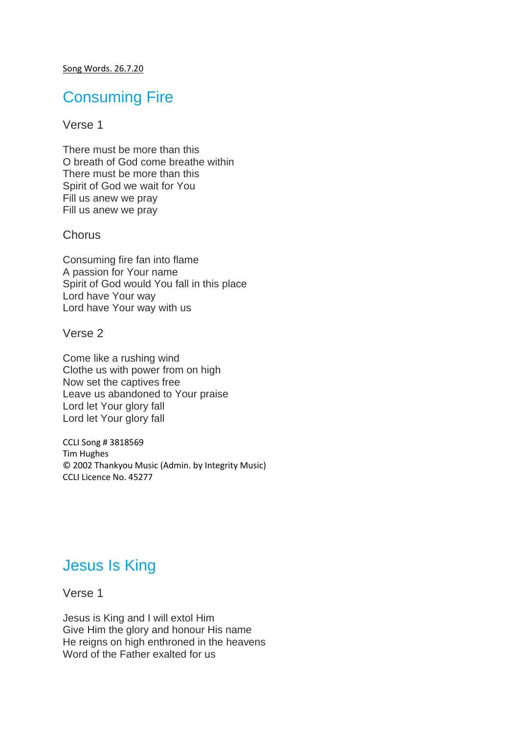Song Words. 26.7.20

# Consuming Fire

### Verse 1

There must be more than this O breath of God come breathe within There must be more than this Spirit of God we wait for You Fill us anew we pray Fill us anew we pray

### **Chorus**

Consuming fire fan into flame A passion for Your name Spirit of God would You fall in this place Lord have Your way Lord have Your way with us

#### Verse 2

Come like a rushing wind Clothe us with power from on high Now set the captives free Leave us abandoned to Your praise Lord let Your glory fall Lord let Your glory fall

CCLI Song # 3818569 Tim Hughes © 2002 Thankyou Music (Admin. by Integrity Music) CCLI Licence No. 45277

## Jesus Is King

Verse 1

Jesus is King and I will extol Him Give Him the glory and honour His name He reigns on high enthroned in the heavens Word of the Father exalted for us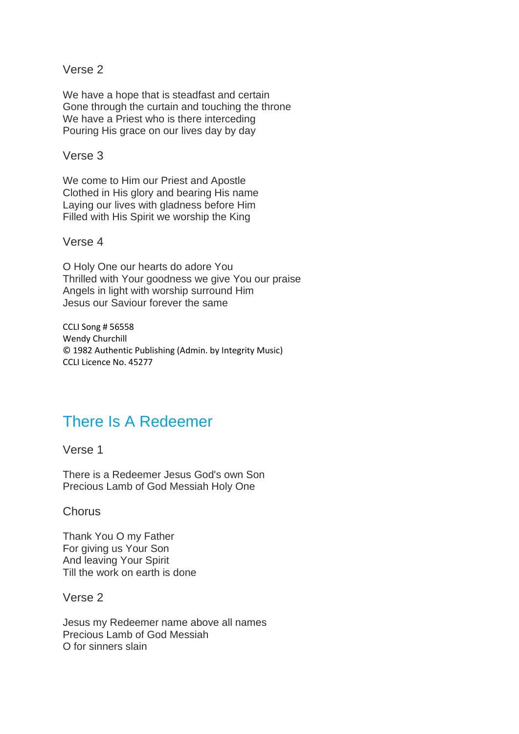Verse 2

We have a hope that is steadfast and certain Gone through the curtain and touching the throne We have a Priest who is there interceding Pouring His grace on our lives day by day

Verse 3

We come to Him our Priest and Apostle Clothed in His glory and bearing His name Laying our lives with gladness before Him Filled with His Spirit we worship the King

Verse 4

O Holy One our hearts do adore You Thrilled with Your goodness we give You our praise Angels in light with worship surround Him Jesus our Saviour forever the same

CCLI Song # 56558 Wendy Churchill © 1982 Authentic Publishing (Admin. by Integrity Music) CCLI Licence No. 45277

# There Is A Redeemer

Verse 1

There is a Redeemer Jesus God's own Son Precious Lamb of God Messiah Holy One

Chorus

Thank You O my Father For giving us Your Son And leaving Your Spirit Till the work on earth is done

Verse 2

Jesus my Redeemer name above all names Precious Lamb of God Messiah O for sinners slain